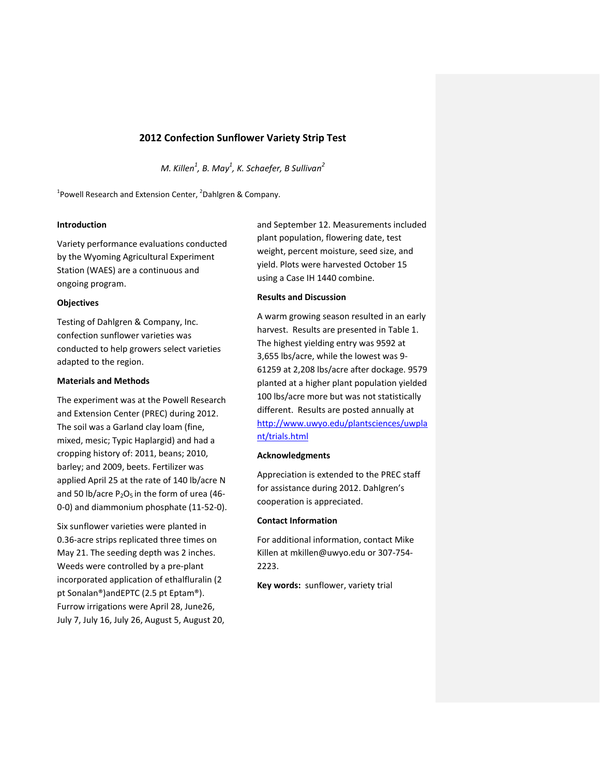# **2012 Confection Sunflower Variety Strip Test**

*M. Killen<sup>1</sup> , B. May1 , K. Schaefer, B Sullivan<sup>2</sup>*

<sup>1</sup> Powell Research and Extension Center, <sup>2</sup> Dahlgren & Company.

# **Introduction**

Variety performance evaluations conducted by the Wyoming Agricultural Experiment Station (WAES) are a continuous and ongoing program.

# **Objectives**

Testing of Dahlgren & Company, Inc. confection sunflower varieties was conducted to help growers select varieties adapted to the region.

# **Materials and Methods**

The experiment was at the Powell Research and Extension Center (PREC) during 2012. The soil was a Garland clay loam (fine, mixed, mesic; Typic Haplargid) and had a cropping history of: 2011, beans; 2010, barley; and 2009, beets. Fertilizer was applied April 25 at the rate of 140 lb/acre N and 50 lb/acre  $P_2O_5$  in the form of urea (46-0-0) and diammonium phosphate (11-52-0).

Six sunflower varieties were planted in 0.36-acre strips replicated three times on May 21. The seeding depth was 2 inches. Weeds were controlled by a pre-plant incorporated application of ethalfluralin (2 pt Sonalan®)andEPTC (2.5 pt Eptam®). Furrow irrigations were April 28, June26, July 7, July 16, July 26, August 5, August 20, and September 12. Measurements included plant population, flowering date, test weight, percent moisture, seed size, and yield. Plots were harvested October 15 using a Case IH 1440 combine.

# **Results and Discussion**

A warm growing season resulted in an early harvest. Results are presented in Table 1. The highest yielding entry was 9592 at 3,655 lbs/acre, while the lowest was 9- 61259 at 2,208 lbs/acre after dockage. 9579 planted at a higher plant population yielded 100 lbs/acre more but was not statistically different. Results are posted annually at [http://www.uwyo.edu/plantsciences/uwpla](http://www.uwyo.edu/plantsciences/uwplant/trials.html) [nt/trials.html](http://www.uwyo.edu/plantsciences/uwplant/trials.html)

#### **Acknowledgments**

Appreciation is extended to the PREC staff for assistance during 2012. Dahlgren's cooperation is appreciated.

# **Contact Information**

For additional information, contact Mike Killen a[t mkillen@uwyo.edu](mailto:mkillen@uwyo.edu) or 307-754- 2223.

**Key words:** sunflower, variety trial